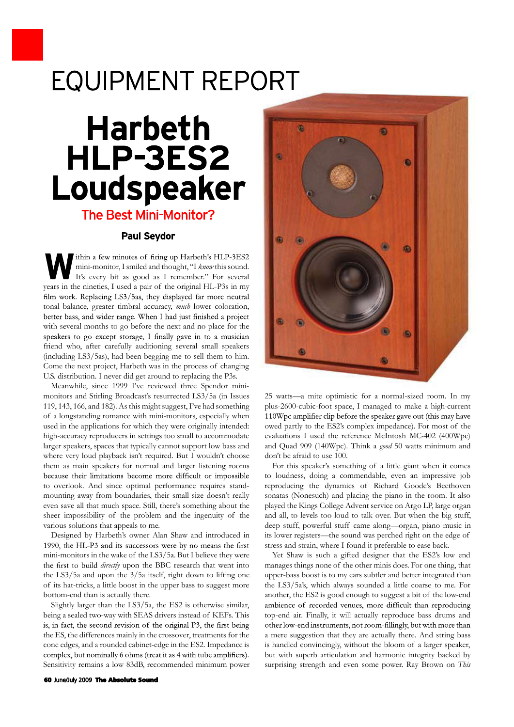## **EQUIPMENT REPORT**

## **Harbeth** HLP-3ES2 Loudspeaker The Best Mini-Monitor?

mini-monitor, I smiled and thought, "I *know* this sound. It's every bit as good as I remember." For several **Paul Seydor**<br> **W** ithin a few minutes of firing up Harbeth's HLP-3ES2<br>
mini-monitor, I smiled and thought, "I *know* this sound.<br>
It's every bit as good as I remember." For several<br>
years in the nineties, I used a pair of tonal balance, greater timbral accuracy, *much* lower coloration, with several months to go before the next and no place for the friend who, after carefully auditioning several small speakers (including LS3/5as), had been begging me to sell them to him. with several months to go before the next and no place for the<br>speakers to go except storage, I finally gave in to a musician<br>friend who, after carefully auditioning several small speakers<br>(including LS3/5as), had been beg U.S. distribution. I never did get around to replacing the P3s.

Meanwhile, since 1999 I've reviewed three Spendor minimonitors and Stirling Broadcast's resurrected LS3/5a (in Issues 119, 143, 166, and 182). As this might suggest, I've had something U.S. distribution. I never did get around to replacing the P3s.<br>Meanwhile, since 1999 I've reviewed three Spendor mini-<br>monitors and Stirling Broadcast's resurrected LS3/5a (in Issues<br>119, 143, 166, and 182). As this might used in the applications for which they were originally intended: owed partly to the ES2's complex impedance). For most of the high-accuracy reproducers in settings too small to accommodate larger speakers, spaces that typically cannot support low bass and where very loud playback isn't required. But I wouldn't choose them as main speakers for normal and larger listening rooms to overlook. And since optimal performance requires standmounting away from boundaries, their small size doesn't really even save all that much space. Still, there's something about the because their limitations become more difficult or impossible<br>to overlook. And since optimal performance requires stand-<br>mounting away from boundaries, their small size doesn't really<br>sonatas (No<br>even save all that much sp various solutions that appeals to me.

sheer impossibility of the problem and the ingenuity of the *a*<br>various solutions that appeals to me.<br>Designed by Harbeth's owner Alan Shaw and introduced in<br>1990, the HL-P3 and its successors were by no means the first<br>m *directly* upon the BBC research that went into the LS3/5a and upon the 3/5a itself, right down to lifting one 1990, the HL-P3 and its successors were by no means the first<br>mini-monitors in the wake of the LS3/5a. But I believe they were<br>the first to build *directly* upon the BBC research that went into<br>the LS3/5a and upon the 3/5 bottom-end than is actually there.

the LS3/5a and upon the 3/5a itself, right down to lifting one<br>of its hat-tricks, a little boost in the upper bass to suggest more<br>bottom-end than is actually there.<br>Slightly larger than the LS3/5a, the ES2 is otherwise si Slightly larger than the LS3/5a, the ES2 is otherwise similar, the ES, the differences mainly in the crossover, treatments for the complex, but nominally 6 ohms (treat it as 4 with tube amplifiers). Sensitivity remains a low 83dB, recommended minimum power



25 watts—a mite optimistic for a normal-sized room. In my plus-2600-cubic-foot space, I managed to make a high-current 25 watts—a mite optimistic for a normal-sized room. In my<br>plus-2600-cubic-foot space, I managed to make a high-current<br>110Wpc amplifier clip before the speaker gave out (this may have<br>owed partly to the ES2's complex imped evaluations I used the reference McIntosh MC-402 (400Wpc) and Quad 909 (140Wpc). Think a *good* 50 watts minimum and don't be afraid to use 100. red partly to the ES2's complex impedance). For most of the<br>aluations I used the reference McIntosh MC-402 (400Wpc)<br>d Quad 909 (140Wpc). Think a *good* 50 watts minimum and<br>m't be afraid to use 100.<br>For this speaker's some

Designed by Harbeth's owner Alan Shaw and introduced in its lower registers—the sound was perched right on the edge of to loudness, doing a commendable, even an impressive job and Quad 909 (140Wpc). Think a *good* 50 watts minimum and<br>don't be afraid to use 100.<br>For this speaker's something of a little giant when it comes<br>to loudness, doing a commendable, even an impressive job<br>reproducing the d sonatas (Nonesuch) and placing the piano in the room. It also played the Kings College Advent service on Argo LP, large organ and all, to levels too loud to talk over. But when the big stuff, reproducing the dynamics of Richard Goode's Beethoven<br>sonatas (Nonesuch) and placing the piano in the room. It also<br>played the Kings College Advent service on Argo LP, large organ<br>and all, to levels too loud to talk over. sonatas (Nonesuch) and placing the piano in the room. It also<br>played the Kings College Advent service on Argo LP, large organ<br>and all, to levels too loud to talk over. But when the big stuff,<br>deep stuff, powerful stuff cam stress and strain, where I found it preferable to ease back.

cone edges, and a rounded cabinet-edge in the ES2. Impedance is is handled convincingly, without the bloom of a larger speaker, Yet Shaw is such a gifted designer that the ES2's low end deep stuff, powerful stuff came along—organ, piano music in<br>its lower registers—the sound was perched right on the edge of<br>stress and strain, where I found it preferable to ease back.<br>Yet Shaw is such a gifted designer tha upper-bass boost is to my ears subtler and better integrated than the LS3/5a's, which always sounded a little coarse to me. For Yet Shaw is such a gifted designer that the ES2's low end<br>manages things none of the other minis does. For one thing, that<br>upper-bass boost is to my ears subtler and better integrated than<br>the LS3/5a's, which always sounde top-end air. Finally, it will actually reproduce bass drums and a mere suggestion that they are actually there. And string bass another, the ES2 is good enough to suggest a bit of the low-end<br>ambience of recorded venues, more difficult than reproducing<br>top-end air. Finally, it will actually reproduce bass drums and<br>other low-end instruments, not ro but with superb articulation and harmonic integrity backed by surprising strength and even some power. Ray Brown on *This*